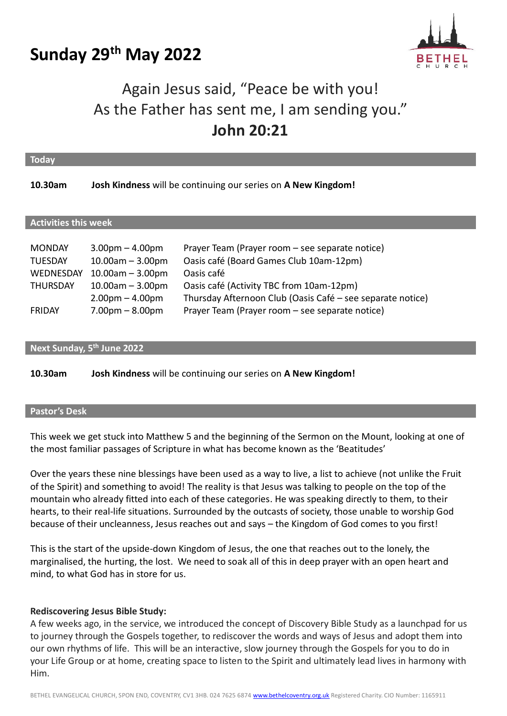# **Sunday 29 th May 2022**



## Again Jesus said, "Peace be with you! As the Father has sent me, I am sending you." **John 20:21**

| <b>Today</b>                                                                     |                                                                                                                                  |                                                                                                                                                                                                                                                                       |  |  |  |  |
|----------------------------------------------------------------------------------|----------------------------------------------------------------------------------------------------------------------------------|-----------------------------------------------------------------------------------------------------------------------------------------------------------------------------------------------------------------------------------------------------------------------|--|--|--|--|
| 10.30am                                                                          |                                                                                                                                  | Josh Kindness will be continuing our series on A New Kingdom!                                                                                                                                                                                                         |  |  |  |  |
| <b>Activities this week</b>                                                      |                                                                                                                                  |                                                                                                                                                                                                                                                                       |  |  |  |  |
| <b>MONDAY</b><br><b>TUESDAY</b><br>WEDNESDAY<br><b>THURSDAY</b><br><b>FRIDAY</b> | $3.00pm - 4.00pm$<br>$10.00am - 3.00pm$<br>$10.00$ am $-3.00$ pm<br>$10.00am - 3.00pm$<br>$2.00pm - 4.00pm$<br>$7.00pm - 8.00pm$ | Prayer Team (Prayer room – see separate notice)<br>Oasis café (Board Games Club 10am-12pm)<br>Oasis café<br>Oasis café (Activity TBC from 10am-12pm)<br>Thursday Afternoon Club (Oasis Café – see separate notice)<br>Prayer Team (Prayer room - see separate notice) |  |  |  |  |

## **Next Sunday, 5 th June 2022**

**10.30am Josh Kindness** will be continuing our series on **A New Kingdom!**

#### **Pastor's Desk**

This week we get stuck into Matthew 5 and the beginning of the Sermon on the Mount, looking at one of the most familiar passages of Scripture in what has become known as the 'Beatitudes'

Over the years these nine blessings have been used as a way to live, a list to achieve (not unlike the Fruit of the Spirit) and something to avoid! The reality is that Jesus was talking to people on the top of the mountain who already fitted into each of these categories. He was speaking directly to them, to their hearts, to their real-life situations. Surrounded by the outcasts of society, those unable to worship God because of their uncleanness, Jesus reaches out and says – the Kingdom of God comes to you first!

This is the start of the upside-down Kingdom of Jesus, the one that reaches out to the lonely, the marginalised, the hurting, the lost. We need to soak all of this in deep prayer with an open heart and mind, to what God has in store for us.

#### **Rediscovering Jesus Bible Study:**

A few weeks ago, in the service, we introduced the concept of Discovery Bible Study as a launchpad for us to journey through the Gospels together, to rediscover the words and ways of Jesus and adopt them into our own rhythms of life. This will be an interactive, slow journey through the Gospels for you to do in your Life Group or at home, creating space to listen to the Spirit and ultimately lead lives in harmony with Him.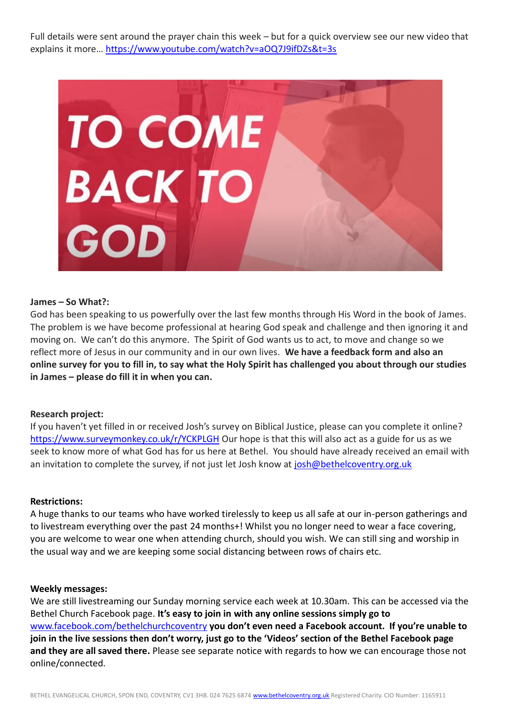Full details were sent around the prayer chain this week – but for a quick overview see our new video that explains it more…<https://www.youtube.com/watch?v=aOQ7J9ifDZs&t=3s>



#### **James – So What?:**

God has been speaking to us powerfully over the last few months through His Word in the book of James. The problem is we have become professional at hearing God speak and challenge and then ignoring it and moving on. We can't do this anymore. The Spirit of God wants us to act, to move and change so we reflect more of Jesus in our community and in our own lives. **We have a feedback form and also an online survey for you to fill in, to say what the Holy Spirit has challenged you about through our studies in James – please do fill it in when you can.**

## **Research project:**

If you haven't yet filled in or received Josh's survey on Biblical Justice, please can you complete it online? <https://www.surveymonkey.co.uk/r/YCKPLGH> Our hope is that this will also act as a guide for us as we seek to know more of what God has for us here at Bethel. You should have already received an email with an invitation to complete the survey, if not just let Josh know at [josh@bethelcoventry.org.uk](mailto:josh@bethelcoventry.org.uk)

#### **Restrictions:**

A huge thanks to our teams who have worked tirelessly to keep us all safe at our in-person gatherings and to livestream everything over the past 24 months+! Whilst you no longer need to wear a face covering, you are welcome to wear one when attending church, should you wish. We can still sing and worship in the usual way and we are keeping some social distancing between rows of chairs etc.

#### **Weekly messages:**

We are still livestreaming our Sunday morning service each week at 10.30am. This can be accessed via the Bethel Church Facebook page. **It's easy to join in with any online sessions simply go to**  [www.facebook.com/bethelchurchcoventry](http://www.facebook.com/bethelchurchcoventry) **you don't even need a Facebook account. If you're unable to join in the live sessions then don't worry, just go to the 'Videos' section of the Bethel Facebook page and they are all saved there.** Please see separate notice with regards to how we can encourage those not online/connected.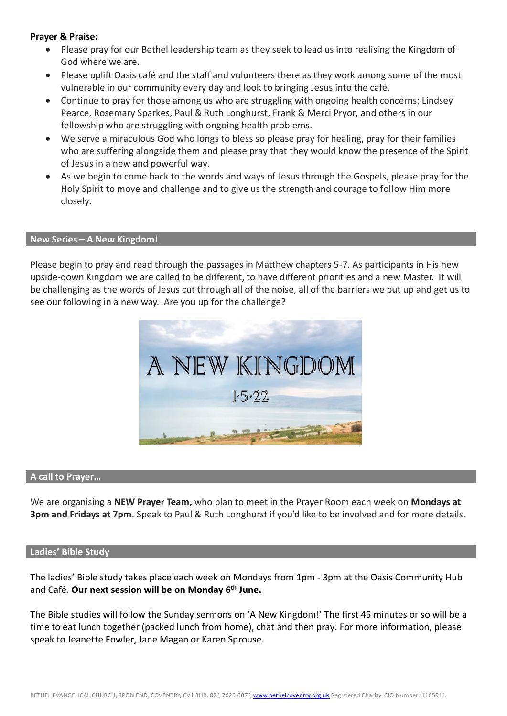## **Prayer & Praise:**

- Please pray for our Bethel leadership team as they seek to lead us into realising the Kingdom of God where we are.
- Please uplift Oasis café and the staff and volunteers there as they work among some of the most vulnerable in our community every day and look to bringing Jesus into the café.
- Continue to pray for those among us who are struggling with ongoing health concerns; Lindsey Pearce, Rosemary Sparkes, Paul & Ruth Longhurst, Frank & Merci Pryor, and others in our fellowship who are struggling with ongoing health problems.
- We serve a miraculous God who longs to bless so please pray for healing, pray for their families who are suffering alongside them and please pray that they would know the presence of the Spirit of Jesus in a new and powerful way.
- As we begin to come back to the words and ways of Jesus through the Gospels, please pray for the Holy Spirit to move and challenge and to give us the strength and courage to follow Him more closely.

#### **New Series – A New Kingdom!**

Please begin to pray and read through the passages in Matthew chapters 5-7. As participants in His new upside-down Kingdom we are called to be different, to have different priorities and a new Master. It will be challenging as the words of Jesus cut through all of the noise, all of the barriers we put up and get us to see our following in a new way. Are you up for the challenge?



#### **A call to Prayer…**

We are organising a **NEW Prayer Team,** who plan to meet in the Prayer Room each week on **Mondays at 3pm and Fridays at 7pm**. Speak to Paul & Ruth Longhurst if you'd like to be involved and for more details.

#### **Ladies' Bible Study**

The ladies' Bible study takes place each week on Mondays from 1pm - 3pm at the Oasis Community Hub and Café. **Our next session will be on Monday 6 th June.**

The Bible studies will follow the Sunday sermons on 'A New Kingdom!' The first 45 minutes or so will be a time to eat lunch together (packed lunch from home), chat and then pray. For more information, please speak to Jeanette Fowler, Jane Magan or Karen Sprouse.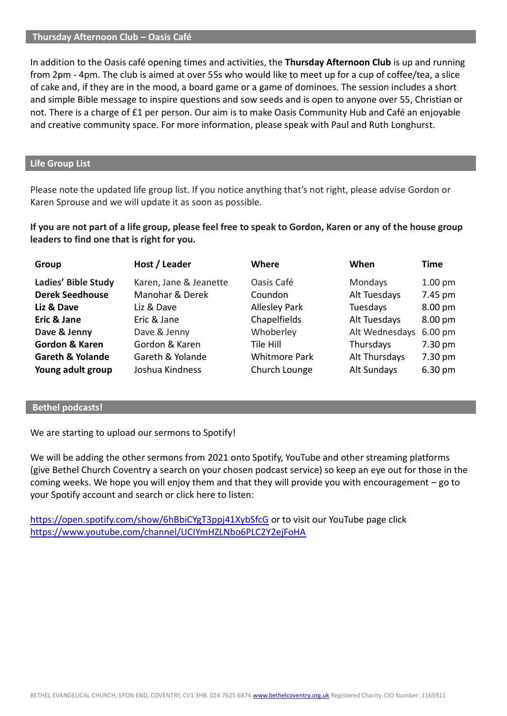#### **Thursday Afternoon Club – Oasis Café**

In addition to the Oasis café opening times and activities, the **Thursday Afternoon Club** is up and running from 2pm - 4pm. The club is aimed at over 55s who would like to meet up for a cup of coffee/tea, a slice of cake and, if they are in the mood, a board game or a game of dominoes. The session includes a short and simple Bible message to inspire questions and sow seeds and is open to anyone over 55, Christian or not. There is a charge of £1 per person. Our aim is to make Oasis Community Hub and Café an enjoyable and creative community space. For more information, please speak with Paul and Ruth Longhurst.

## **Life Group List**

Please note the updated life group list. If you notice anything that's not right, please advise Gordon or Karen Sprouse and we will update it as soon as possible.

**If you are not part of a life group, please feel free to speak to Gordon, Karen or any of the house group leaders to find one that is right for you.**

| Group                       | Host / Leader          | Where                | When           | Time               |
|-----------------------------|------------------------|----------------------|----------------|--------------------|
| Ladies' Bible Study         | Karen, Jane & Jeanette | Oasis Café           | Mondays        | 1.00 <sub>pm</sub> |
| <b>Derek Seedhouse</b>      | Manohar & Derek        | Coundon              | Alt Tuesdays   | 7.45 pm            |
| Liz & Dave                  | Liz & Dave             | <b>Allesley Park</b> | Tuesdays       | 8.00 pm            |
| Eric & Jane                 | Eric & Jane            | Chapelfields         | Alt Tuesdays   | 8.00 pm            |
| Dave & Jenny                | Dave & Jenny           | Whoberley            | Alt Wednesdays | $6.00 \text{ pm}$  |
| <b>Gordon &amp; Karen</b>   | Gordon & Karen         | Tile Hill            | Thursdays      | 7.30 pm            |
| <b>Gareth &amp; Yolande</b> | Gareth & Yolande       | <b>Whitmore Park</b> | Alt Thursdays  | 7.30 pm            |
| Young adult group           | Joshua Kindness        | Church Lounge        | Alt Sundays    | 6.30 pm            |

#### **Bethel podcasts!**

We are starting to upload our sermons to Spotify!

We will be adding the other sermons from 2021 onto Spotify, YouTube and other streaming platforms (give Bethel Church Coventry a search on your chosen podcast service) so keep an eye out for those in the coming weeks. We hope you will enjoy them and that they will provide you with encouragement – go to your Spotify account and search or click here to listen:

<https://open.spotify.com/show/6hBbiCYgT3ppj41XybSfcG> or to visit our YouTube page click <https://www.youtube.com/channel/UCIYmHZLNbo6PLC2Y2ejFoHA>